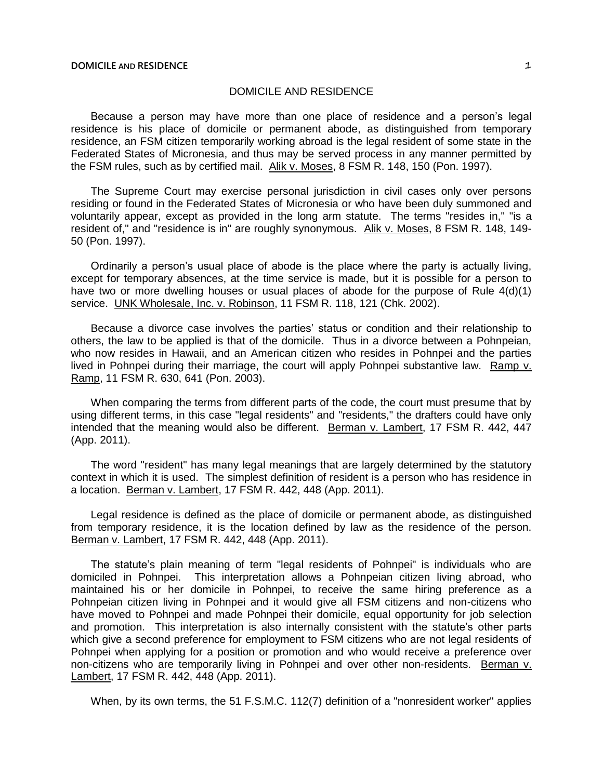## DOMICILE AND RESIDENCE

Because a person may have more than one place of residence and a person's legal residence is his place of domicile or permanent abode, as distinguished from temporary residence, an FSM citizen temporarily working abroad is the legal resident of some state in the Federated States of Micronesia, and thus may be served process in any manner permitted by the FSM rules, such as by certified mail. Alik v. Moses, 8 FSM R. 148, 150 (Pon. 1997).

The Supreme Court may exercise personal jurisdiction in civil cases only over persons residing or found in the Federated States of Micronesia or who have been duly summoned and voluntarily appear, except as provided in the long arm statute. The terms "resides in," "is a resident of," and "residence is in" are roughly synonymous. Alik v. Moses, 8 FSM R. 148, 149- 50 (Pon. 1997).

Ordinarily a person's usual place of abode is the place where the party is actually living, except for temporary absences, at the time service is made, but it is possible for a person to have two or more dwelling houses or usual places of abode for the purpose of Rule 4(d)(1) service. UNK Wholesale, Inc. v. Robinson, 11 FSM R. 118, 121 (Chk. 2002).

Because a divorce case involves the parties' status or condition and their relationship to others, the law to be applied is that of the domicile. Thus in a divorce between a Pohnpeian, who now resides in Hawaii, and an American citizen who resides in Pohnpei and the parties lived in Pohnpei during their marriage, the court will apply Pohnpei substantive law. Ramp v. Ramp, 11 FSM R. 630, 641 (Pon. 2003).

When comparing the terms from different parts of the code, the court must presume that by using different terms, in this case "legal residents" and "residents," the drafters could have only intended that the meaning would also be different. Berman v. Lambert, 17 FSM R. 442, 447 (App. 2011).

The word "resident" has many legal meanings that are largely determined by the statutory context in which it is used. The simplest definition of resident is a person who has residence in a location. Berman v. Lambert, 17 FSM R. 442, 448 (App. 2011).

Legal residence is defined as the place of domicile or permanent abode, as distinguished from temporary residence, it is the location defined by law as the residence of the person. Berman v. Lambert, 17 FSM R. 442, 448 (App. 2011).

The statute's plain meaning of term "legal residents of Pohnpei" is individuals who are domiciled in Pohnpei. This interpretation allows a Pohnpeian citizen living abroad, who maintained his or her domicile in Pohnpei, to receive the same hiring preference as a Pohnpeian citizen living in Pohnpei and it would give all FSM citizens and non-citizens who have moved to Pohnpei and made Pohnpei their domicile, equal opportunity for job selection and promotion. This interpretation is also internally consistent with the statute's other parts which give a second preference for employment to FSM citizens who are not legal residents of Pohnpei when applying for a position or promotion and who would receive a preference over non-citizens who are temporarily living in Pohnpei and over other non-residents. Berman v. Lambert, 17 FSM R. 442, 448 (App. 2011).

When, by its own terms, the 51 F.S.M.C. 112(7) definition of a "nonresident worker" applies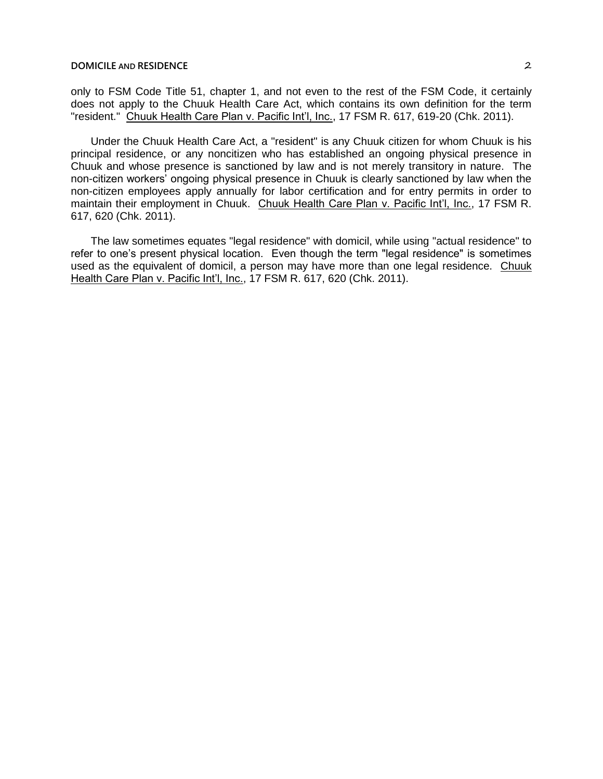## **DOMICILE** AND **RESIDENCE** 2

only to FSM Code Title 51, chapter 1, and not even to the rest of the FSM Code, it certainly does not apply to the Chuuk Health Care Act, which contains its own definition for the term "resident." Chuuk Health Care Plan v. Pacific Int'l, Inc., 17 FSM R. 617, 619-20 (Chk. 2011).

Under the Chuuk Health Care Act, a "resident" is any Chuuk citizen for whom Chuuk is his principal residence, or any noncitizen who has established an ongoing physical presence in Chuuk and whose presence is sanctioned by law and is not merely transitory in nature. The non-citizen workers' ongoing physical presence in Chuuk is clearly sanctioned by law when the non-citizen employees apply annually for labor certification and for entry permits in order to maintain their employment in Chuuk. Chuuk Health Care Plan v. Pacific Int'l, Inc., 17 FSM R. 617, 620 (Chk. 2011).

The law sometimes equates "legal residence" with domicil, while using "actual residence" to refer to one's present physical location. Even though the term "legal residence" is sometimes used as the equivalent of domicil, a person may have more than one legal residence. Chuuk Health Care Plan v. Pacific Int'l, Inc., 17 FSM R. 617, 620 (Chk. 2011).